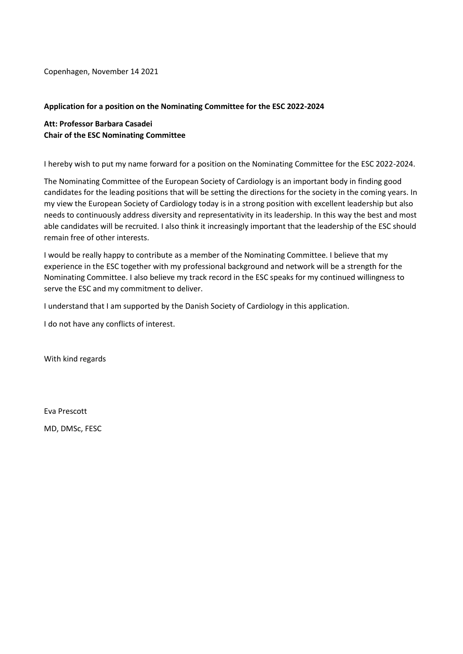Copenhagen, November 14 2021

#### **Application for a position on the Nominating Committee for the ESC 2022-2024**

**Att: Professor Barbara Casadei Chair of the ESC Nominating Committee**

I hereby wish to put my name forward for a position on the Nominating Committee for the ESC 2022-2024.

The Nominating Committee of the European Society of Cardiology is an important body in finding good candidates for the leading positions that will be setting the directions for the society in the coming years. In my view the European Society of Cardiology today is in a strong position with excellent leadership but also needs to continuously address diversity and representativity in its leadership. In this way the best and most able candidates will be recruited. I also think it increasingly important that the leadership of the ESC should remain free of other interests.

I would be really happy to contribute as a member of the Nominating Committee. I believe that my experience in the ESC together with my professional background and network will be a strength for the Nominating Committee. I also believe my track record in the ESC speaks for my continued willingness to serve the ESC and my commitment to deliver.

I understand that I am supported by the Danish Society of Cardiology in this application.

I do not have any conflicts of interest.

With kind regards

Eva Prescott

MD, DMSc, FESC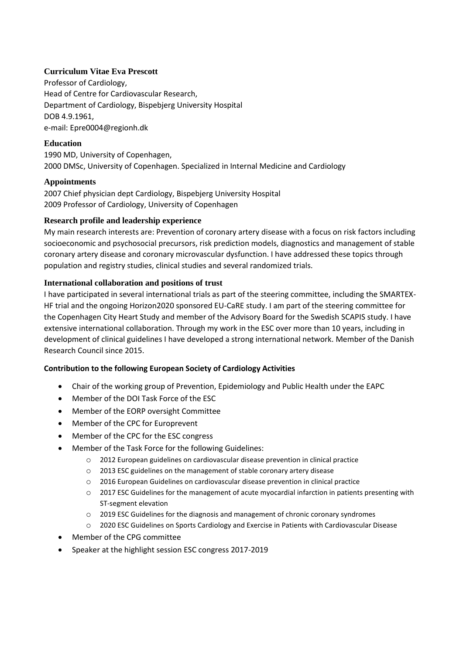## **Curriculum Vitae Eva Prescott**

Professor of Cardiology, Head of Centre for Cardiovascular Research, Department of Cardiology, Bispebjerg University Hospital DOB 4.9.1961, e-mail: Epre0004@regionh.dk

## **Education**

1990 MD, University of Copenhagen, 2000 DMSc, University of Copenhagen. Specialized in Internal Medicine and Cardiology

## **Appointments**

2007 Chief physician dept Cardiology, Bispebjerg University Hospital 2009 Professor of Cardiology, University of Copenhagen

## **Research profile and leadership experience**

My main research interests are: Prevention of coronary artery disease with a focus on risk factors including socioeconomic and psychosocial precursors, risk prediction models, diagnostics and management of stable coronary artery disease and coronary microvascular dysfunction. I have addressed these topics through population and registry studies, clinical studies and several randomized trials.

# **International collaboration and positions of trust**

I have participated in several international trials as part of the steering committee, including the SMARTEX-HF trial and the ongoing Horizon2020 sponsored EU-CaRE study. I am part of the steering committee for the Copenhagen City Heart Study and member of the Advisory Board for the Swedish SCAPIS study. I have extensive international collaboration. Through my work in the ESC over more than 10 years, including in development of clinical guidelines I have developed a strong international network. Member of the Danish Research Council since 2015.

## **Contribution to the following European Society of Cardiology Activities**

- Chair of the working group of Prevention, Epidemiology and Public Health under the EAPC
- Member of the DOI Task Force of the ESC
- Member of the EORP oversight Committee
- Member of the CPC for Europrevent
- Member of the CPC for the ESC congress
- Member of the Task Force for the following Guidelines:
	- o 2012 European guidelines on cardiovascular disease prevention in clinical practice
	- o 2013 ESC guidelines on the management of stable coronary artery disease
	- o 2016 European Guidelines on cardiovascular disease prevention in clinical practice
	- o 2017 ESC Guidelines for the management of acute myocardial infarction in patients presenting with ST-segment elevation
	- o 2019 ESC Guidelines for the diagnosis and management of chronic coronary syndromes
	- o 2020 ESC Guidelines on Sports Cardiology and Exercise in Patients with Cardiovascular Disease
- Member of the CPG committee
- Speaker at the highlight session ESC congress 2017-2019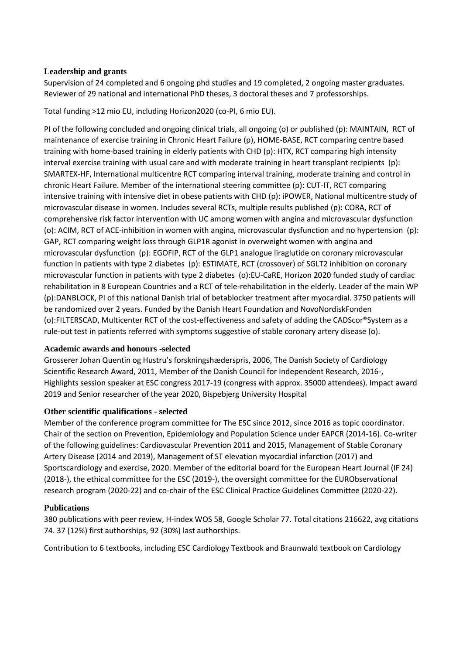### **Leadership and grants**

Supervision of 24 completed and 6 ongoing phd studies and 19 completed, 2 ongoing master graduates. Reviewer of 29 national and international PhD theses, 3 doctoral theses and 7 professorships.

Total funding >12 mio EU, including Horizon2020 (co-PI, 6 mio EU).

PI of the following concluded and ongoing clinical trials, all ongoing (o) or published (p): MAINTAIN, RCT of maintenance of exercise training in Chronic Heart Failure (p), HOME-BASE, RCT comparing centre based training with home-based training in elderly patients with CHD (p): HTX, RCT comparing high intensity interval exercise training with usual care and with moderate training in heart transplant recipients (p): SMARTEX-HF, International multicentre RCT comparing interval training, moderate training and control in chronic Heart Failure. Member of the international steering committee (p): CUT-IT, RCT comparing intensive training with intensive diet in obese patients with CHD (p): iPOWER, National multicentre study of microvascular disease in women. Includes several RCTs, multiple results published (p): CORA, RCT of comprehensive risk factor intervention with UC among women with angina and microvascular dysfunction (o): ACIM, RCT of ACE-inhibition in women with angina, microvascular dysfunction and no hypertension (p): GAP, RCT comparing weight loss through GLP1R agonist in overweight women with angina and microvascular dysfunction (p): EGOFIP, RCT of the GLP1 analogue liraglutide on coronary microvascular function in patients with type 2 diabetes (p): ESTIMATE, RCT (crossover) of SGLT2 inhibition on coronary microvascular function in patients with type 2 diabetes (o):EU-CaRE, Horizon 2020 funded study of cardiac rehabilitation in 8 European Countries and a RCT of tele-rehabilitation in the elderly. Leader of the main WP (p):DANBLOCK, PI of this national Danish trial of betablocker treatment after myocardial. 3750 patients will be randomized over 2 years. Funded by the Danish Heart Foundation and NovoNordiskFonden (o):FILTERSCAD, Multicenter RCT of the cost-effectiveness and safety of adding the CADScor®System as a rule-out test in patients referred with symptoms suggestive of stable coronary artery disease (o).

#### **Academic awards and honours -selected**

Grosserer Johan Quentin og Hustru's forskningshæderspris, 2006, The Danish Society of Cardiology Scientific Research Award, 2011, Member of the Danish Council for Independent Research, 2016-, Highlights session speaker at ESC congress 2017-19 (congress with approx. 35000 attendees). Impact award 2019 and Senior researcher of the year 2020, Bispebjerg University Hospital

## **Other scientific qualifications - selected**

Member of the conference program committee for The ESC since 2012, since 2016 as topic coordinator. Chair of the section on Prevention, Epidemiology and Population Science under EAPCR (2014-16). Co-writer of the following guidelines: Cardiovascular Prevention 2011 and 2015, Management of Stable Coronary Artery Disease (2014 and 2019), Management of ST elevation myocardial infarction (2017) and Sportscardiology and exercise, 2020. Member of the editorial board for the European Heart Journal (IF 24) (2018-), the ethical committee for the ESC (2019-), the oversight committee for the EURObservational research program (2020-22) and co-chair of the ESC Clinical Practice Guidelines Committee (2020-22).

#### **Publications**

380 publications with peer review, H-index WOS 58, Google Scholar 77. Total citations 216622, avg citations 74. 37 (12%) first authorships, 92 (30%) last authorships.

Contribution to 6 textbooks, including ESC Cardiology Textbook and Braunwald textbook on Cardiology